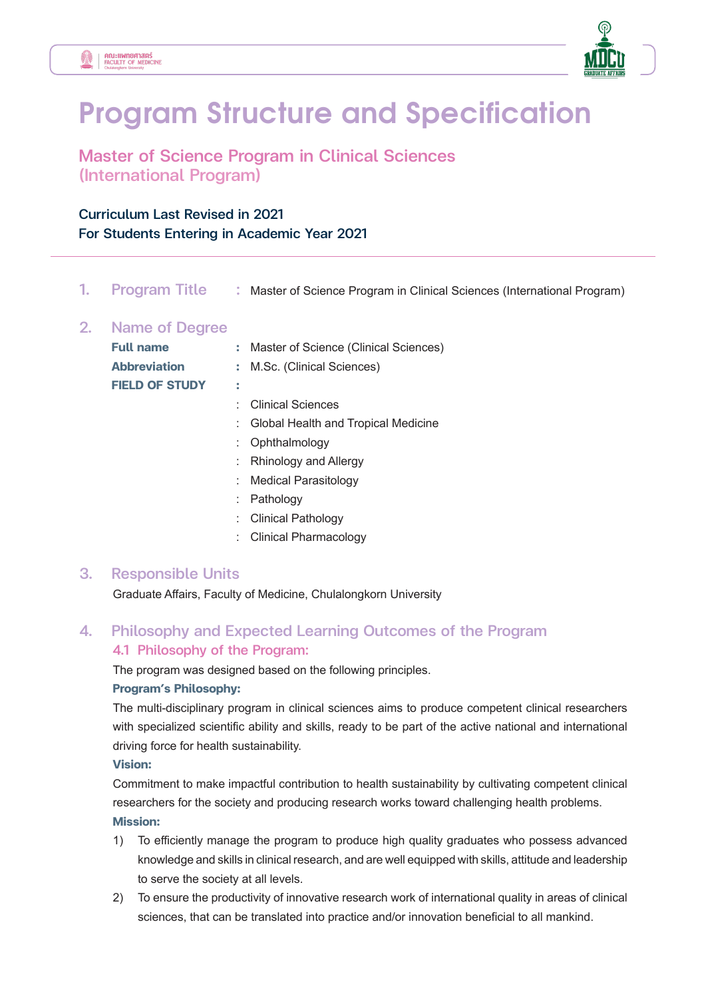外



# **Program Structure and Specification**

Master of Science Program in Clinical Sciences (International Program)

## Curriculum Last Revised in 2021

#### For Students Entering in Academic Year 2021

1. Program Title : Master of Science Program in Clinical Sciences (International Program)

#### 2. Name of Degree

| <b>Full name</b>      | : Master of Science (Clinical Sciences) |  |
|-----------------------|-----------------------------------------|--|
| <b>Abbreviation</b>   | : M.Sc. (Clinical Sciences)             |  |
| <b>FIELD OF STUDY</b> |                                         |  |
|                       | : Clinical Sciences                     |  |
|                       | : Global Health and Tropical Medicine   |  |
|                       | : Ophthalmology                         |  |
|                       |                                         |  |

- : Rhinology and Allergy
- : Medical Parasitology
- : Pathology
- : Clinical Pathology
- : Clinical Pharmacology

### 3. Responsible Units

Graduate Affairs, Faculty of Medicine, Chulalongkorn University

## 4. Philosophy and Expected Learning Outcomes of the Program 4.1 Philosophy of the Program:

The program was designed based on the following principles.

#### **Program's Philosophy:**

 The multi-disciplinary program in clinical sciences aims to produce competent clinical researchers with specialized scientific ability and skills, ready to be part of the active national and international driving force for health sustainability.

#### **Vision:**

 Commitment to make impactful contribution to health sustainability by cultivating competent clinical researchers for the society and producing research works toward challenging health problems. **Mission:** 

- 1) To efficiently manage the program to produce high quality graduates who possess advanced knowledge and skills in clinical research, and are well equipped with skills, attitude and leadership to serve the society at all levels.
- 2) To ensure the productivity of innovative research work of international quality in areas of clinical sciences, that can be translated into practice and/or innovation beneficial to all mankind.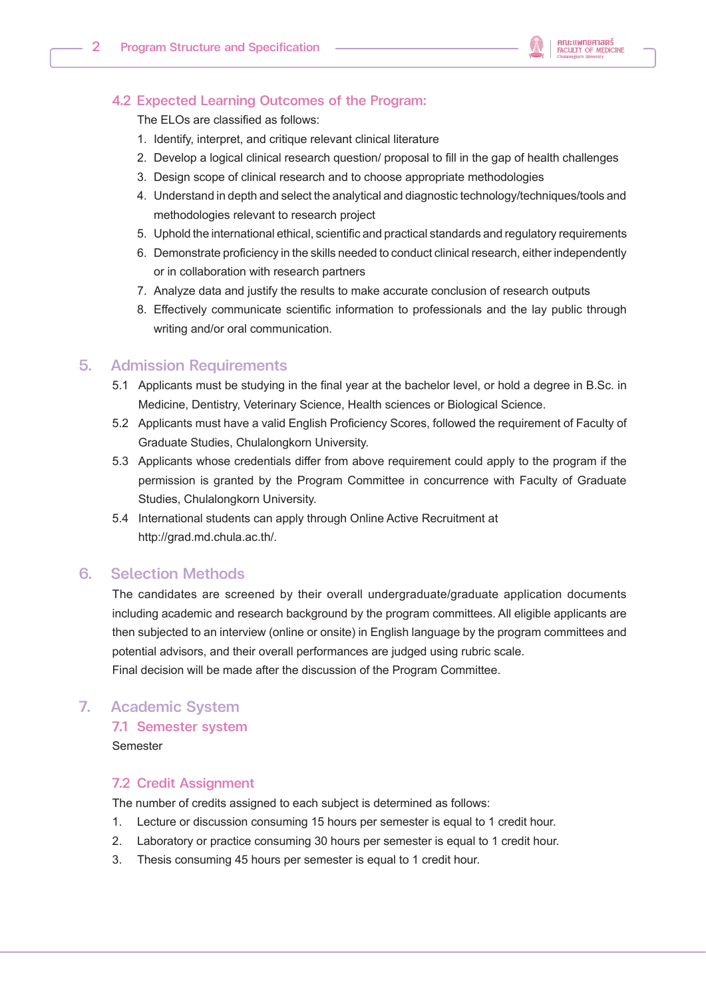

#### 4.2 Expected Learning Outcomes of the Program:

The ELOs are classified as follows:

- 1. Identify, interpret, and critique relevant clinical literature
- 2. Develop a logical clinical research question/ proposal to fill in the gap of health challenges
- 3. Design scope of clinical research and to choose appropriate methodologies
- 4. Understand in depth and select the analytical and diagnostic technology/techniques/tools and methodologies relevant to research project
- 5. Uphold the international ethical, scientific and practical standards and regulatory requirements
- 6. Demonstrate proficiency in the skills needed to conduct clinical research, either independently or in collaboration with research partners
- 7. Analyze data and justify the results to make accurate conclusion of research outputs
- 8. Effectively communicate scientific information to professionals and the lay public through writing and/or oral communication.

#### 5. Admission Requirements

- 5.1 Applicants must be studying in the final year at the bachelor level, or hold a degree in B.Sc. in Medicine, Dentistry, Veterinary Science, Health sciences or Biological Science.
- 5.2 Applicants must have a valid English Proficiency Scores, followed the requirement of Faculty of Graduate Studies, Chulalongkorn University.
- 5.3 Applicants whose credentials differ from above requirement could apply to the program if the permission is granted by the Program Committee in concurrence with Faculty of Graduate Studies, Chulalongkorn University.
- 5.4 International students can apply through Online Active Recruitment at http://grad.md.chula.ac.th/.

#### 6. Selection Methods

 The candidates are screened by their overall undergraduate/graduate application documents including academic and research background by the program committees. All eligible applicants are then subjected to an interview (online or onsite) in English language by the program committees and potential advisors, and their overall performances are judged using rubric scale. Final decision will be made after the discussion of the Program Committee.

### 7. Academic System

#### 7.1 Semester system Semester

# 7.2 Credit Assignment

The number of credits assigned to each subject is determined as follows:

- 1. Lecture or discussion consuming 15 hours per semester is equal to 1 credit hour.
- 2. Laboratory or practice consuming 30 hours per semester is equal to 1 credit hour.
- 3. Thesis consuming 45 hours per semester is equal to 1 credit hour.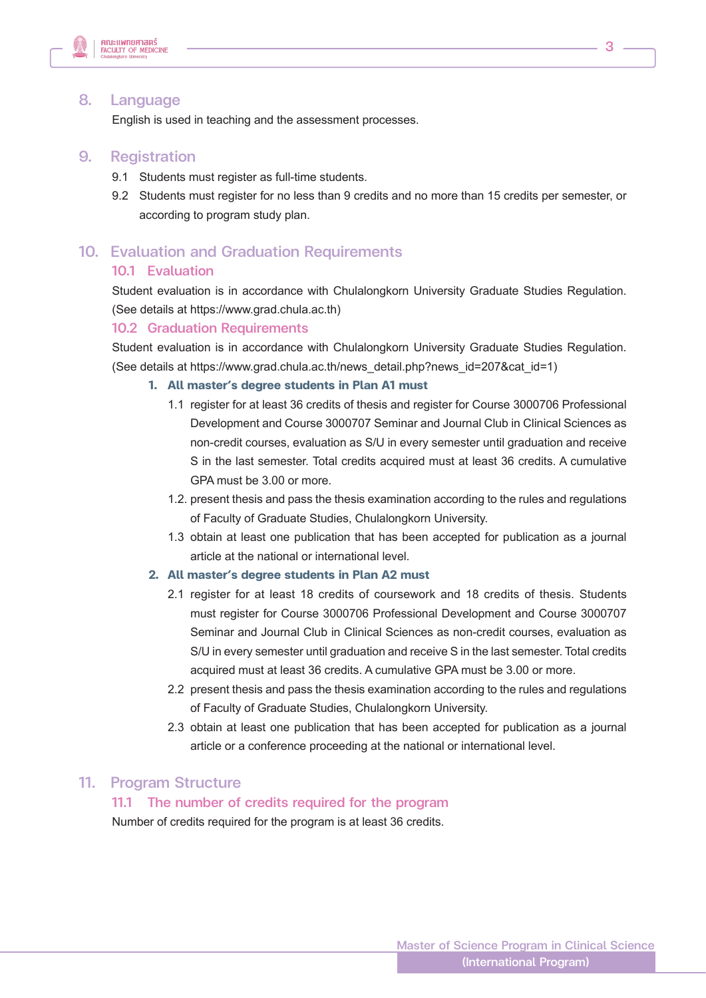

#### 8. Language

English is used in teaching and the assessment processes.

#### 9. Registration

- 9.1 Students must register as full-time students.
- 9.2 Students must register for no less than 9 credits and no more than 15 credits per semester, or according to program study plan.

# 10. Evaluation and Graduation Requirements 10.1 Evaluation

 Student evaluation is in accordance with Chulalongkorn University Graduate Studies Regulation. (See details at https://www.grad.chula.ac.th)

#### 10.2 Graduation Requirements

 Student evaluation is in accordance with Chulalongkorn University Graduate Studies Regulation. (See details at https://www.grad.chula.ac.th/news\_detail.php?news\_id=207&cat\_id=1)

#### **1. All master's degree students in Plan A1 must**

- 1.1 register for at least 36 credits of thesis and register for Course 3000706 Professional Development and Course 3000707 Seminar and Journal Club in Clinical Sciences as non-credit courses, evaluation as S/U in every semester until graduation and receive S in the last semester. Total credits acquired must at least 36 credits. A cumulative GPA must be 3.00 or more.
- 1.2. present thesis and pass the thesis examination according to the rules and regulations of Faculty of Graduate Studies, Chulalongkorn University.
- 1.3 obtain at least one publication that has been accepted for publication as a journal article at the national or international level.

#### **2. All master's degree students in Plan A2 must**

- 2.1 register for at least 18 credits of coursework and 18 credits of thesis. Students must register for Course 3000706 Professional Development and Course 3000707 Seminar and Journal Club in Clinical Sciences as non-credit courses, evaluation as S/U in every semester until graduation and receive S in the last semester. Total credits acquired must at least 36 credits. A cumulative GPA must be 3.00 or more.
- 2.2 present thesis and pass the thesis examination according to the rules and regulations of Faculty of Graduate Studies, Chulalongkorn University.
- 2.3 obtain at least one publication that has been accepted for publication as a journal article or a conference proceeding at the national or international level.

# 11. Program Structure<br>11.1 The number of credits required for the program

Number of credits required for the program is at least 36 credits.

3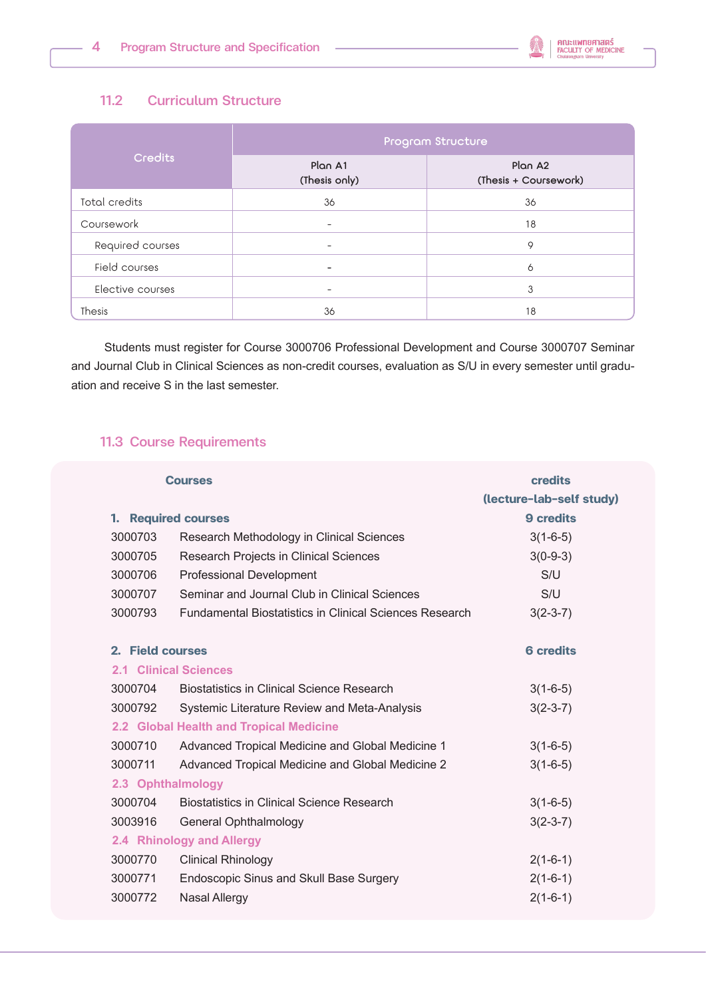

## 11.2 Curriculum Structure

| <b>Credits</b>   | Program Structure        |                                              |  |
|------------------|--------------------------|----------------------------------------------|--|
|                  | Plan A1<br>(Thesis only) | Plan A <sub>2</sub><br>(Thesis + Coursework) |  |
| Total credits    | 36                       | 36                                           |  |
| Coursework       |                          | 18                                           |  |
| Required courses |                          | 9                                            |  |
| Field courses    |                          | 6                                            |  |
| Elective courses | $\overline{\phantom{0}}$ | 3                                            |  |
| <b>Thesis</b>    | 36                       | 18                                           |  |

Students must register for Course 3000706 Professional Development and Course 3000707 Seminar and Journal Club in Clinical Sciences as non-credit courses, evaluation as S/U in every semester until graduation and receive S in the last semester.

#### 11.3 Course Requirements

|                     | <b>Courses</b>                                                 | <b>credits</b>           |
|---------------------|----------------------------------------------------------------|--------------------------|
|                     |                                                                | (lecture-lab-self study) |
| 1. Required courses |                                                                | 9 credits                |
| 3000703             | Research Methodology in Clinical Sciences                      | $3(1-6-5)$               |
| 3000705             | Research Projects in Clinical Sciences                         | $3(0-9-3)$               |
| 3000706             | <b>Professional Development</b>                                | S/U                      |
| 3000707             | Seminar and Journal Club in Clinical Sciences                  | S/U                      |
| 3000793             | <b>Fundamental Biostatistics in Clinical Sciences Research</b> | $3(2-3-7)$               |
| 2. Field courses    |                                                                | <b>6 credits</b>         |
|                     | 2.1 Clinical Sciences                                          |                          |
| 3000704             | <b>Biostatistics in Clinical Science Research</b>              | $3(1-6-5)$               |
| 3000792             | Systemic Literature Review and Meta-Analysis                   | $3(2-3-7)$               |
|                     | 2.2 Global Health and Tropical Medicine                        |                          |
| 3000710             | Advanced Tropical Medicine and Global Medicine 1               | $3(1-6-5)$               |
| 3000711             | Advanced Tropical Medicine and Global Medicine 2               | $3(1-6-5)$               |
| 2.3 Ophthalmology   |                                                                |                          |
| 3000704             | <b>Biostatistics in Clinical Science Research</b>              | $3(1-6-5)$               |
| 3003916             | General Ophthalmology                                          | $3(2-3-7)$               |
|                     | 2.4 Rhinology and Allergy                                      |                          |
| 3000770             | <b>Clinical Rhinology</b>                                      | $2(1-6-1)$               |
| 3000771             | Endoscopic Sinus and Skull Base Surgery                        | $2(1-6-1)$               |
| 3000772             | <b>Nasal Allergy</b>                                           | $2(1-6-1)$               |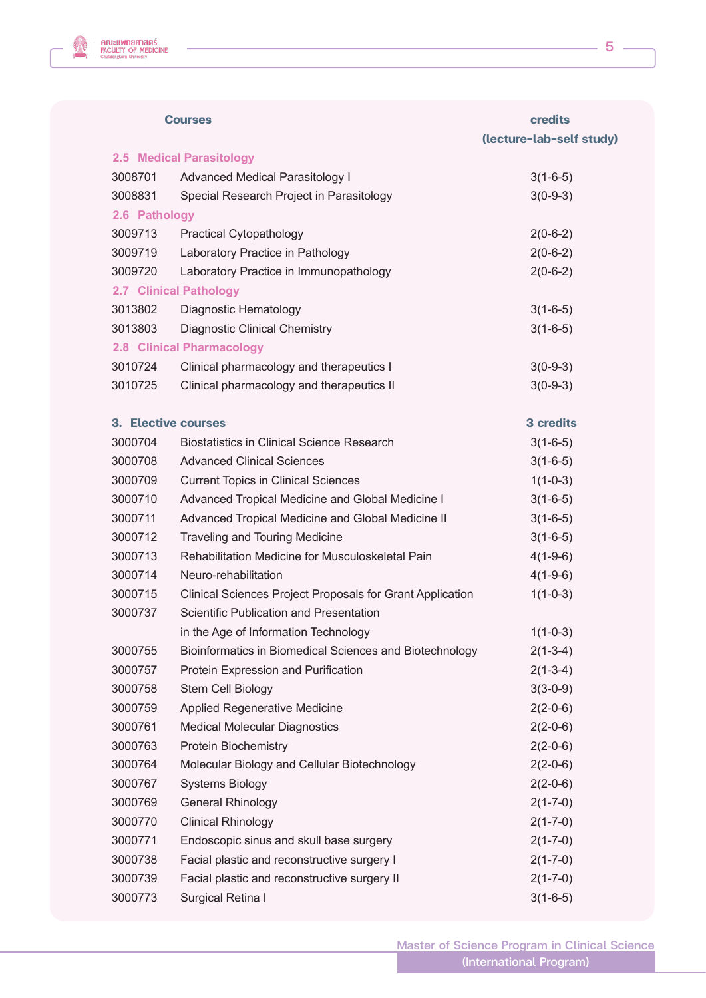

|               | <b>Courses</b>                                            | credits                  |
|---------------|-----------------------------------------------------------|--------------------------|
|               |                                                           | (lecture-lab-self study) |
|               | 2.5 Medical Parasitology                                  |                          |
| 3008701       | <b>Advanced Medical Parasitology I</b>                    | $3(1-6-5)$               |
| 3008831       | Special Research Project in Parasitology                  | $3(0-9-3)$               |
| 2.6 Pathology |                                                           |                          |
| 3009713       | <b>Practical Cytopathology</b>                            | $2(0-6-2)$               |
| 3009719       | Laboratory Practice in Pathology                          | $2(0-6-2)$               |
| 3009720       | Laboratory Practice in Immunopathology                    | $2(0-6-2)$               |
|               | <b>2.7 Clinical Pathology</b>                             |                          |
| 3013802       | Diagnostic Hematology                                     | $3(1-6-5)$               |
| 3013803       | <b>Diagnostic Clinical Chemistry</b>                      | $3(1-6-5)$               |
|               | <b>2.8 Clinical Pharmacology</b>                          |                          |
| 3010724       | Clinical pharmacology and therapeutics I                  | $3(0-9-3)$               |
| 3010725       | Clinical pharmacology and therapeutics II                 | $3(0-9-3)$               |
|               | 3. Elective courses                                       | <b>3 credits</b>         |
| 3000704       | <b>Biostatistics in Clinical Science Research</b>         | $3(1-6-5)$               |
| 3000708       | <b>Advanced Clinical Sciences</b>                         | $3(1-6-5)$               |
| 3000709       | <b>Current Topics in Clinical Sciences</b>                | $1(1-0-3)$               |
| 3000710       | Advanced Tropical Medicine and Global Medicine I          | $3(1-6-5)$               |
| 3000711       | Advanced Tropical Medicine and Global Medicine II         | $3(1-6-5)$               |
| 3000712       | Traveling and Touring Medicine                            | $3(1-6-5)$               |
| 3000713       | Rehabilitation Medicine for Musculoskeletal Pain          | $4(1-9-6)$               |
| 3000714       | Neuro-rehabilitation                                      | $4(1-9-6)$               |
| 3000715       | Clinical Sciences Project Proposals for Grant Application | $1(1-0-3)$               |
| 3000737       | Scientific Publication and Presentation                   |                          |
|               | in the Age of Information Technology                      | $1(1-0-3)$               |
| 3000755       | Bioinformatics in Biomedical Sciences and Biotechnology   | $2(1-3-4)$               |
| 3000757       | Protein Expression and Purification                       | $2(1-3-4)$               |
| 3000758       | Stem Cell Biology                                         | $3(3-0-9)$               |
| 3000759       | <b>Applied Regenerative Medicine</b>                      | $2(2-0-6)$               |
| 3000761       | <b>Medical Molecular Diagnostics</b>                      | $2(2-0-6)$               |
| 3000763       | <b>Protein Biochemistry</b>                               | $2(2-0-6)$               |
| 3000764       | Molecular Biology and Cellular Biotechnology              | $2(2-0-6)$               |
| 3000767       | <b>Systems Biology</b>                                    | $2(2-0-6)$               |
| 3000769       | <b>General Rhinology</b>                                  | $2(1 - 7 - 0)$           |
| 3000770       | <b>Clinical Rhinology</b>                                 | $2(1 - 7 - 0)$           |
| 3000771       | Endoscopic sinus and skull base surgery                   | $2(1 - 7 - 0)$           |
| 3000738       | Facial plastic and reconstructive surgery I               | $2(1 - 7 - 0)$           |
| 3000739       | Facial plastic and reconstructive surgery II              | $2(1 - 7 - 0)$           |
| 3000773       | Surgical Retina I                                         | $3(1-6-5)$               |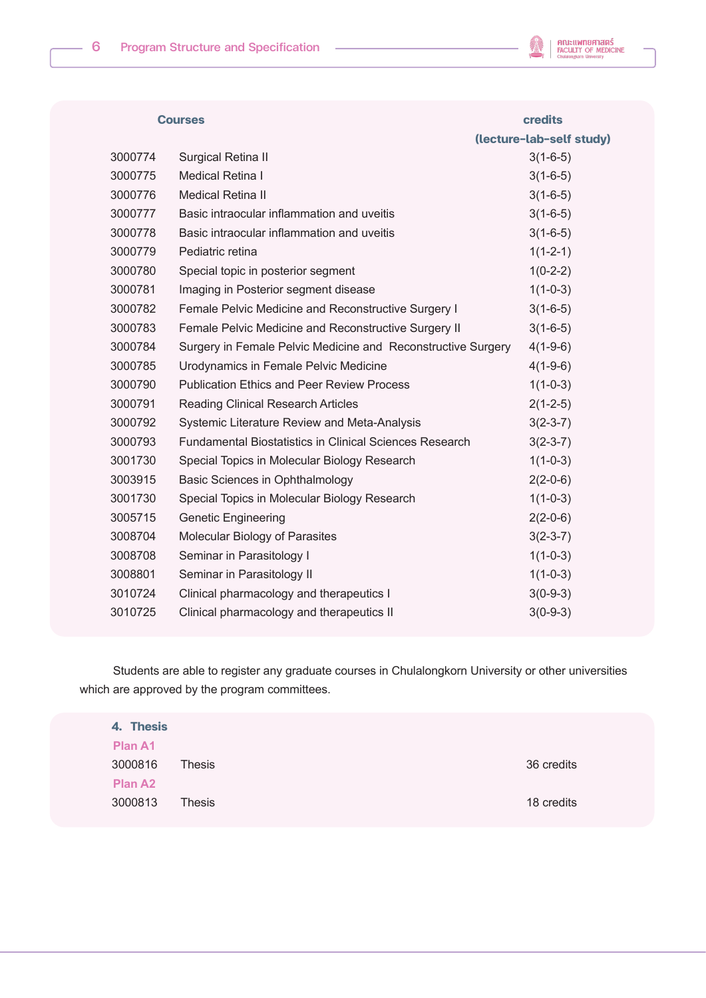

|         | <b>Courses</b>                                                 | <b>credits</b>           |
|---------|----------------------------------------------------------------|--------------------------|
|         |                                                                | (lecture-lab-self study) |
| 3000774 | Surgical Retina II                                             | $3(1-6-5)$               |
| 3000775 | <b>Medical Retina I</b>                                        | $3(1-6-5)$               |
| 3000776 | <b>Medical Retina II</b>                                       | $3(1-6-5)$               |
| 3000777 | Basic intraocular inflammation and uveitis                     | $3(1-6-5)$               |
| 3000778 | Basic intraocular inflammation and uveitis                     | $3(1-6-5)$               |
| 3000779 | Pediatric retina                                               | $1(1-2-1)$               |
| 3000780 | Special topic in posterior segment                             | $1(0-2-2)$               |
| 3000781 | Imaging in Posterior segment disease                           | $1(1-0-3)$               |
| 3000782 | Female Pelvic Medicine and Reconstructive Surgery I            | $3(1-6-5)$               |
| 3000783 | Female Pelvic Medicine and Reconstructive Surgery II           | $3(1-6-5)$               |
| 3000784 | Surgery in Female Pelvic Medicine and Reconstructive Surgery   | $4(1-9-6)$               |
| 3000785 | Urodynamics in Female Pelvic Medicine                          | $4(1-9-6)$               |
| 3000790 | <b>Publication Ethics and Peer Review Process</b>              | $1(1-0-3)$               |
| 3000791 | <b>Reading Clinical Research Articles</b>                      | $2(1-2-5)$               |
| 3000792 | Systemic Literature Review and Meta-Analysis                   | $3(2-3-7)$               |
| 3000793 | <b>Fundamental Biostatistics in Clinical Sciences Research</b> | $3(2-3-7)$               |
| 3001730 | Special Topics in Molecular Biology Research                   | $1(1-0-3)$               |
| 3003915 | Basic Sciences in Ophthalmology                                | $2(2-0-6)$               |
| 3001730 | Special Topics in Molecular Biology Research                   | $1(1-0-3)$               |
| 3005715 | <b>Genetic Engineering</b>                                     | $2(2-0-6)$               |
| 3008704 | Molecular Biology of Parasites                                 | $3(2-3-7)$               |
| 3008708 | Seminar in Parasitology I                                      | $1(1-0-3)$               |
| 3008801 | Seminar in Parasitology II                                     | $1(1-0-3)$               |
| 3010724 | Clinical pharmacology and therapeutics I                       | $3(0-9-3)$               |
| 3010725 | Clinical pharmacology and therapeutics II                      | $3(0-9-3)$               |
|         |                                                                |                          |

Students are able to register any graduate courses in Chulalongkorn University or other universities which are approved by the program committees.

| 4. Thesis      |               |            |
|----------------|---------------|------------|
| <b>Plan A1</b> |               |            |
| 3000816        | <b>Thesis</b> | 36 credits |
| <b>Plan A2</b> |               |            |
| 3000813        | <b>Thesis</b> | 18 credits |
|                |               |            |